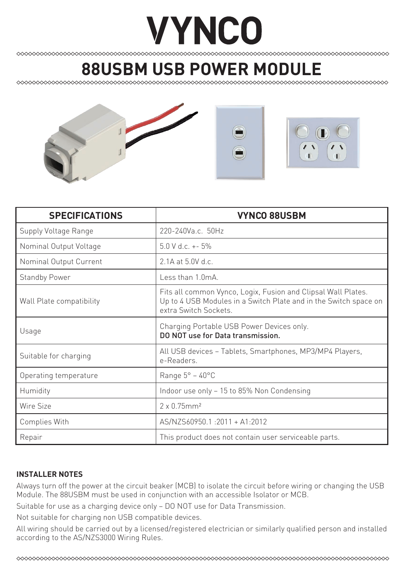# **VYNCO**

## **88USBM USB POWER MODULE**



| <b>SPECIFICATIONS</b>    | <b>VYNCO 88USBM</b>                                                                                                                                        |
|--------------------------|------------------------------------------------------------------------------------------------------------------------------------------------------------|
| Supply Voltage Range     | 220-240Va.c. 50Hz                                                                                                                                          |
| Nominal Output Voltage   | $5.0 V d.c. + -5%$                                                                                                                                         |
| Nominal Output Current   | $2.1A$ at 5.0V d.c.                                                                                                                                        |
| <b>Standby Power</b>     | $l$ ess than 1 0mA                                                                                                                                         |
| Wall Plate compatibility | Fits all common Vynco, Logix, Fusion and Clipsal Wall Plates.<br>Up to 4 USB Modules in a Switch Plate and in the Switch space on<br>extra Switch Sockets. |
| Usage                    | Charging Portable USB Power Devices only.<br>DO NOT use for Data transmission.                                                                             |
| Suitable for charging    | All USB devices - Tablets, Smartphones, MP3/MP4 Players,<br>e-Readers                                                                                      |
| Operating temperature    | Range $5^{\circ}$ – 40 $^{\circ}$ C                                                                                                                        |
| Humidity                 | Indoor use only - 15 to 85% Non Condensing                                                                                                                 |
| Wire Size                | $2 \times 0.75$ mm <sup>2</sup>                                                                                                                            |
| Complies With            | AS/NZS60950.1:2011 + A1:2012                                                                                                                               |
| Repair                   | This product does not contain user serviceable parts.                                                                                                      |

### **INSTALLER NOTES**

Always turn off the power at the circuit beaker (MCB) to isolate the circuit before wiring or changing the USB Module. The 88USBM must be used in conjunction with an accessible Isolator or MCB.

Suitable for use as a charging device only – DO NOT use for Data Transmission.

Not suitable for charging non USB compatible devices.

All wiring should be carried out by a licensed/registered electrician or similarly qualified person and installed according to the AS/NZS3000 Wiring Rules.